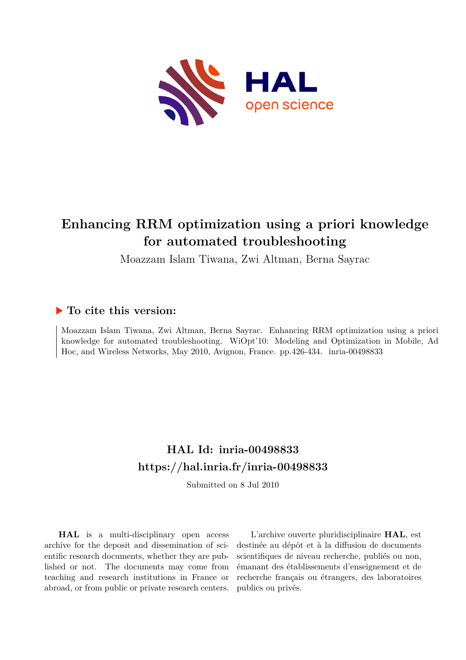

# **Enhancing RRM optimization using a priori knowledge for automated troubleshooting**

Moazzam Islam Tiwana, Zwi Altman, Berna Sayrac

## **To cite this version:**

Moazzam Islam Tiwana, Zwi Altman, Berna Sayrac. Enhancing RRM optimization using a priori knowledge for automated troubleshooting. WiOpt'10: Modeling and Optimization in Mobile, Ad Hoc, and Wireless Networks, May 2010, Avignon, France. pp.426-434. inria-00498833

## **HAL Id: inria-00498833 <https://hal.inria.fr/inria-00498833>**

Submitted on 8 Jul 2010

**HAL** is a multi-disciplinary open access archive for the deposit and dissemination of scientific research documents, whether they are published or not. The documents may come from teaching and research institutions in France or abroad, or from public or private research centers.

L'archive ouverte pluridisciplinaire **HAL**, est destinée au dépôt et à la diffusion de documents scientifiques de niveau recherche, publiés ou non, émanant des établissements d'enseignement et de recherche français ou étrangers, des laboratoires publics ou privés.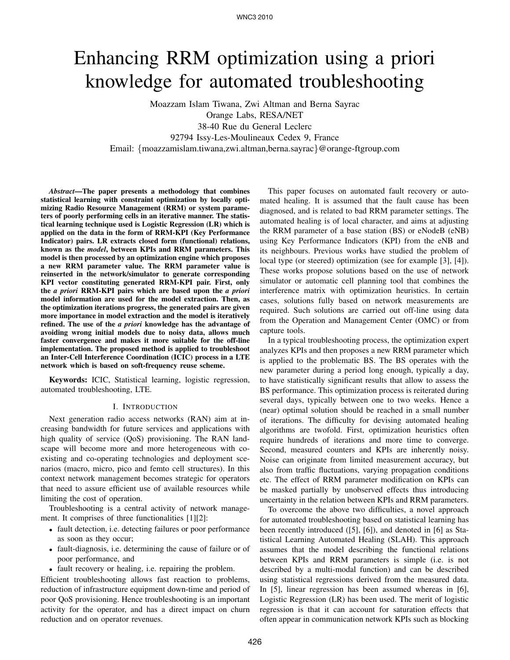# Enhancing RRM optimization using a priori knowledge for automated troubleshooting

Moazzam Islam Tiwana, Zwi Altman and Berna Sayrac Orange Labs, RESA/NET 38-40 Rue du General Leclerc 92794 Issy-Les-Moulineaux Cedex 9, France Email: {moazzamislam.tiwana,zwi.altman,berna.sayrac}@orange-ftgroup.com

*Abstract*—The paper presents a methodology that combines statistical learning with constraint optimization by locally optimizing Radio Resource Management (RRM) or system parameters of poorly performing cells in an iterative manner. The statistical learning technique used is Logistic Regression (LR) which is applied on the data in the form of RRM-KPI (Key Performance Indicator) pairs. LR extracts closed form (functional) relations, known as the *model*, between KPIs and RRM parameters. This model is then processed by an optimization engine which proposes a new RRM parameter value. The RRM parameter value is reinserted in the network/simulator to generate corresponding KPI vector constituting generated RRM-KPI pair. First, only the *a priori* RRM-KPI pairs which are based upon the *a priori* model information are used for the model extraction. Then, as the optimization iterations progress, the generated pairs are given more importance in model extraction and the model is iteratively refined. The use of the *a priori* knowledge has the advantage of avoiding wrong initial models due to noisy data, allows much faster convergence and makes it more suitable for the off-line implementation. The proposed method is applied to troubleshoot an Inter-Cell Interference Coordination (ICIC) process in a LTE network which is based on soft-frequency reuse scheme.

Keywords: ICIC, Statistical learning, logistic regression, automated troubleshooting, LTE.

#### I. INTRODUCTION

Next generation radio access networks (RAN) aim at increasing bandwidth for future services and applications with high quality of service (QoS) provisioning. The RAN landscape will become more and more heterogeneous with coexisting and co-operating technologies and deployment scenarios (macro, micro, pico and femto cell structures). In this context network management becomes strategic for operators that need to assure efficient use of available resources while limiting the cost of operation.

Troubleshooting is a central activity of network management. It comprises of three functionalities [1][2]:

- fault detection, i.e. detecting failures or poor performance as soon as they occur;
- fault-diagnosis, i.e. determining the cause of failure or of poor performance, and
- fault recovery or healing, i.e. repairing the problem.

Efficient troubleshooting allows fast reaction to problems, reduction of infrastructure equipment down-time and period of poor QoS provisioning. Hence troubleshooting is an important activity for the operator, and has a direct impact on churn reduction and on operator revenues.

This paper focuses on automated fault recovery or automated healing. It is assumed that the fault cause has been diagnosed, and is related to bad RRM parameter settings. The automated healing is of local character, and aims at adjusting the RRM parameter of a base station (BS) or eNodeB (eNB) using Key Performance Indicators (KPI) from the eNB and its neighbours. Previous works have studied the problem of local type (or steered) optimization (see for example [3], [4]). These works propose solutions based on the use of network simulator or automatic cell planning tool that combines the interference matrix with optimization heuristics. In certain cases, solutions fully based on network measurements are required. Such solutions are carried out off-line using data from the Operation and Management Center (OMC) or from capture tools.

In a typical troubleshooting process, the optimization expert analyzes KPIs and then proposes a new RRM parameter which is applied to the problematic BS. The BS operates with the new parameter during a period long enough, typically a day, to have statistically significant results that allow to assess the BS performance. This optimization process is reiterated during several days, typically between one to two weeks. Hence a (near) optimal solution should be reached in a small number of iterations. The difficulty for devising automated healing algorithms are twofold. First, optimization heuristics often require hundreds of iterations and more time to converge. Second, measured counters and KPIs are inherently noisy. Noise can originate from limited measurement accuracy, but also from traffic fluctuations, varying propagation conditions etc. The effect of RRM parameter modification on KPIs can be masked partially by unobserved effects thus introducing uncertainty in the relation between KPIs and RRM parameters.

To overcome the above two difficulties, a novel approach for automated troubleshooting based on statistical learning has been recently introduced ([5], [6]), and denoted in [6] as Statistical Learning Automated Healing (SLAH). This approach assumes that the model describing the functional relations between KPIs and RRM parameters is simple (i.e. is not described by a multi-modal function) and can be described using statistical regressions derived from the measured data. In [5], linear regression has been assumed whereas in [6], Logistic Regression (LR) has been used. The merit of logistic regression is that it can account for saturation effects that often appear in communication network KPIs such as blocking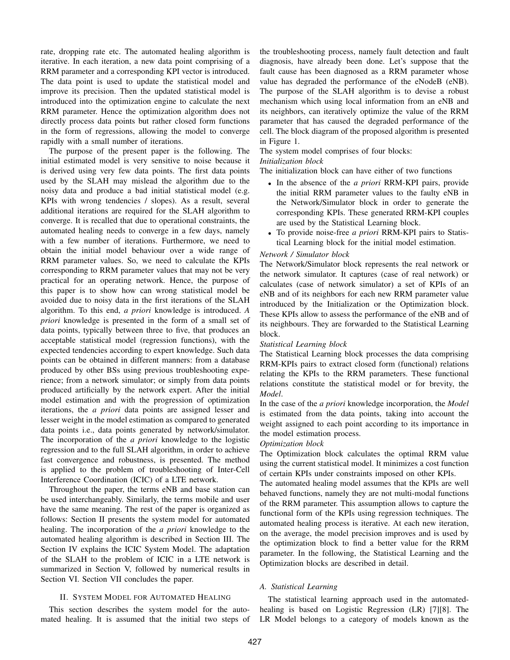rate, dropping rate etc. The automated healing algorithm is iterative. In each iteration, a new data point comprising of a RRM parameter and a corresponding KPI vector is introduced. The data point is used to update the statistical model and improve its precision. Then the updated statistical model is introduced into the optimization engine to calculate the next RRM parameter. Hence the optimization algorithm does not directly process data points but rather closed form functions in the form of regressions, allowing the model to converge rapidly with a small number of iterations.

The purpose of the present paper is the following. The initial estimated model is very sensitive to noise because it is derived using very few data points. The first data points used by the SLAH may mislead the algorithm due to the noisy data and produce a bad initial statistical model (e.g. KPIs with wrong tendencies / slopes). As a result, several additional iterations are required for the SLAH algorithm to converge. It is recalled that due to operational constraints, the automated healing needs to converge in a few days, namely with a few number of iterations. Furthermore, we need to obtain the initial model behaviour over a wide range of RRM parameter values. So, we need to calculate the KPIs corresponding to RRM parameter values that may not be very practical for an operating network. Hence, the purpose of this paper is to show how can wrong statistical model be avoided due to noisy data in the first iterations of the SLAH algorithm. To this end, *a priori* knowledge is introduced. *A priori* knowledge is presented in the form of a small set of data points, typically between three to five, that produces an acceptable statistical model (regression functions), with the expected tendencies according to expert knowledge. Such data points can be obtained in different manners: from a database produced by other BSs using previous troubleshooting experience; from a network simulator; or simply from data points produced artificially by the network expert. After the initial model estimation and with the progression of optimization iterations, the *a priori* data points are assigned lesser and lesser weight in the model estimation as compared to generated data points i.e., data points generated by network/simulator. The incorporation of the *a priori* knowledge to the logistic regression and to the full SLAH algorithm, in order to achieve fast convergence and robustness, is presented. The method is applied to the problem of troubleshooting of Inter-Cell Interference Coordination (ICIC) of a LTE network.

Throughout the paper, the terms eNB and base station can be used interchangeably. Similarly, the terms mobile and user have the same meaning. The rest of the paper is organized as follows: Section II presents the system model for automated healing. The incorporation of the *a priori* knowledge to the automated healing algorithm is described in Section III. The Section IV explains the ICIC System Model. The adaptation of the SLAH to the problem of ICIC in a LTE network is summarized in Section V, followed by numerical results in Section VI. Section VII concludes the paper.

#### II. SYSTEM MODEL FOR AUTOMATED HEALING

This section describes the system model for the automated healing. It is assumed that the initial two steps of the troubleshooting process, namely fault detection and fault diagnosis, have already been done. Let's suppose that the fault cause has been diagnosed as a RRM parameter whose value has degraded the performance of the eNodeB (eNB). The purpose of the SLAH algorithm is to devise a robust mechanism which using local information from an eNB and its neighbors, can iteratively optimize the value of the RRM parameter that has caused the degraded performance of the cell. The block diagram of the proposed algorithm is presented in Figure 1.

### The system model comprises of four blocks:

#### *Initialization block*

The initialization block can have either of two functions

- In the absence of the *a priori* RRM-KPI pairs, provide the initial RRM parameter values to the faulty eNB in the Network/Simulator block in order to generate the corresponding KPIs. These generated RRM-KPI couples are used by the Statistical Learning block.
- To provide noise-free *a priori* RRM-KPI pairs to Statistical Learning block for the initial model estimation.

#### *Network / Simulator block*

The Network/Simulator block represents the real network or the network simulator. It captures (case of real network) or calculates (case of network simulator) a set of KPIs of an eNB and of its neighbors for each new RRM parameter value introduced by the Initialization or the Optimization block. These KPIs allow to assess the performance of the eNB and of its neighbours. They are forwarded to the Statistical Learning block.

#### *Statistical Learning block*

The Statistical Learning block processes the data comprising RRM-KPIs pairs to extract closed form (functional) relations relating the KPIs to the RRM parameters. These functional relations constitute the statistical model or for brevity, the *Model*.

In the case of the *a priori* knowledge incorporation, the *Model* is estimated from the data points, taking into account the weight assigned to each point according to its importance in the model estimation process.

#### *Optimization block*

The Optimization block calculates the optimal RRM value using the current statistical model. It minimizes a cost function of certain KPIs under constraints imposed on other KPIs.

The automated healing model assumes that the KPIs are well behaved functions, namely they are not multi-modal functions of the RRM parameter. This assumption allows to capture the functional form of the KPIs using regression techniques. The automated healing process is iterative. At each new iteration, on the average, the model precision improves and is used by the optimization block to find a better value for the RRM parameter. In the following, the Statistical Learning and the Optimization blocks are described in detail.

#### *A. Statistical Learning*

The statistical learning approach used in the automatedhealing is based on Logistic Regression (LR) [7][8]. The LR Model belongs to a category of models known as the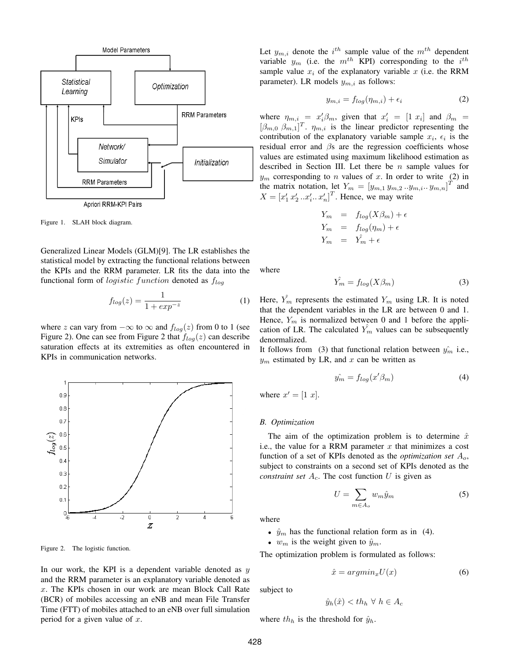

Figure 1. SLAH block diagram.

Generalized Linear Models (GLM)[9]. The LR establishes the statistical model by extracting the functional relations between the KPIs and the RRM parameter. LR fits the data into the functional form of *logistic function* denoted as  $f_{loq}$ 

$$
f_{log}(z) = \frac{1}{1 + exp^{-z}}\tag{1}
$$

where z can vary from  $-\infty$  to  $\infty$  and  $f_{log}(z)$  from 0 to 1 (see Figure 2). One can see from Figure 2 that  $f_{log}(z)$  can describe saturation effects at its extremities as often encountered in KPIs in communication networks.



Figure 2. The logistic function.

In our work, the KPI is a dependent variable denoted as  $y$ and the RRM parameter is an explanatory variable denoted as x. The KPIs chosen in our work are mean Block Call Rate (BCR) of mobiles accessing an eNB and mean File Transfer Time (FTT) of mobiles attached to an eNB over full simulation period for a given value of  $x$ .

Let  $y_{m,i}$  denote the  $i^{th}$  sample value of the  $m^{th}$  dependent variable  $y_m$  (i.e. the  $m^{th}$  KPI) corresponding to the  $i^{th}$ sample value  $x_i$  of the explanatory variable x (i.e. the RRM parameter). LR models  $y_{m,i}$  as follows:

$$
y_{m,i} = f_{log}(\eta_{m,i}) + \epsilon_i \tag{2}
$$

where  $\eta_{m,i} = x_i' \beta_m$ , given that  $x_i' = [1 \ x_i]$  and  $\beta_m =$  $[\beta_{m,0}, \beta_{m,1}]^T$ .  $\eta_{m,i}$  is the linear predictor representing the contribution of the explanatory variable sample  $x_i$ ,  $\epsilon_i$  is the residual error and  $\beta$ s are the regression coefficients whose values are estimated using maximum likelihood estimation as described in Section III. Let there be  $n$  sample values for  $y_m$  corresponding to *n* values of *x*. In order to write (2) in the matrix notation, let  $Y_m = [y_{m,1} y_{m,2} ... y_{m,i} ... y_{m,n}]^T$  and  $X = \left[x'_1 x'_2 ... x'_i ... x'_n\right]^T$ . Hence, we may write

$$
Y_m = f_{log}(X\beta_m) + \epsilon
$$
  
\n
$$
Y_m = f_{log}(\eta_m) + \epsilon
$$
  
\n
$$
Y_m = \hat{Y}_m + \epsilon
$$

where

$$
\hat{Y_m} = f_{log}(X\beta_m) \tag{3}
$$

Here,  $Y_m$  represents the estimated  $Y_m$  using LR. It is noted that the dependent variables in the LR are between 0 and 1. Hence,  $Y_m$  is normalized between 0 and 1 before the application of LR. The calculated  $Y_m$  values can be subsequently denormalized.

It follows from (3) that functional relation between  $\hat{y}_m$  i.e.,  $y_m$  estimated by LR, and x can be written as

$$
\hat{y_m} = f_{log}(x'\beta_m) \tag{4}
$$

where  $x' = [1 \; x]$ .

#### *B. Optimization*

The aim of the optimization problem is to determine  $\hat{x}$ i.e., the value for a RRM parameter  $x$  that minimizes a cost function of a set of KPIs denoted as the *optimization set* Ao, subject to constraints on a second set of KPIs denoted as the *constraint set*  $A_c$ . The cost function  $U$  is given as

$$
U = \sum_{m \in A_o} w_m \hat{y}_m \tag{5}
$$

where

- $\hat{y}_m$  has the functional relation form as in (4).
- $w_m$  is the weight given to  $\hat{y}_m$ .

The optimization problem is formulated as follows:

$$
\hat{x} = argmin_{x} U(x) \tag{6}
$$

subject to

$$
\hat{y}_h(\hat{x}) < th_h \ \forall \ h \in A_c
$$

where  $th_h$  is the threshold for  $\hat{y}_h$ .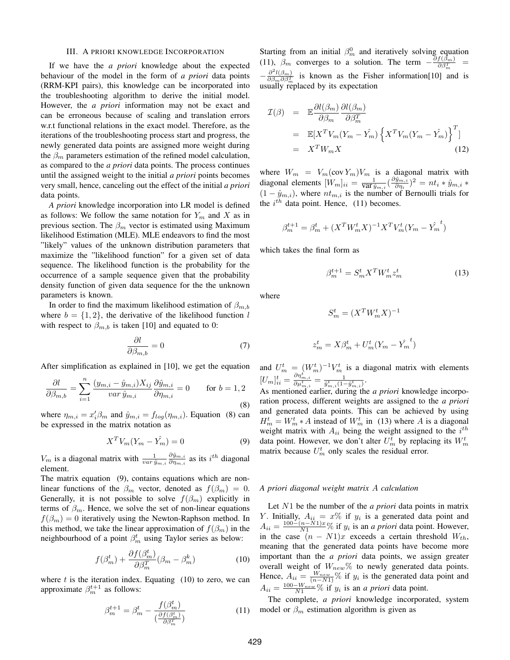#### III. A PRIORI KNOWLEDGE INCORPORATION

If we have the *a priori* knowledge about the expected behaviour of the model in the form of *a priori* data points (RRM-KPI pairs), this knowledge can be incorporated into the troubleshooting algorithm to derive the initial model. However, the *a priori* information may not be exact and can be erroneous because of scaling and translation errors w.r.t functional relations in the exact model. Therefore, as the iterations of the troubleshooting process start and progress, the newly generated data points are assigned more weight during the  $\beta_m$  parameters estimation of the refined model calculation, as compared to the *a priori* data points. The process continues until the assigned weight to the initial *a priori* points becomes very small, hence, canceling out the effect of the initial *a priori* data points.

*A priori* knowledge incorporation into LR model is defined as follows: We follow the same notation for  $Y_m$  and X as in previous section. The  $\beta_m$  vector is estimated using Maximum likelihood Estimation (MLE). MLE endeavors to find the most "likely" values of the unknown distribution parameters that maximize the "likelihood function" for a given set of data sequence. The likelihood function is the probability for the occurrence of a sample sequence given that the probability density function of given data sequence for the the unknown parameters is known.

In order to find the maximum likelihood estimation of  $\beta_{m,b}$ where  $b = \{1, 2\}$ , the derivative of the likelihood function l with respect to  $\beta_{m,b}$  is taken [10] and equated to 0:

$$
\frac{\partial l}{\partial \beta_{m,b}} = 0 \tag{7}
$$

After simplification as explained in [10], we get the equation

$$
\frac{\partial l}{\partial \beta_{m,b}} = \sum_{i=1}^{n} \frac{(y_{m,i} - \hat{y}_{m,i})X_{ij}}{var \,\hat{y}_{m,i}} \frac{\partial \hat{y}_{m,i}}{\partial \eta_{m,i}} = 0 \quad \text{for } b = 1, 2
$$
\n(8)

where  $\eta_{m,i} = x_i^{\prime} \beta_m$  and  $\hat{y}_{m,i} = f_{log}(\eta_{m,i})$ . Equation (8) can be expressed in the matrix notation as

$$
X^T V_m (Y_m - \hat{Y_m}) = 0 \tag{9}
$$

 $V_m$  is a diagonal matrix with  $\frac{1}{var \hat{y}_{m,i}}$  $\partial \hat{y}_{m,i}$  $\frac{\partial \ddot{y}_{m,i}}{\partial \eta_{m,i}}$  as its  $i^{th}$  diagonal element.

The matrix equation (9), contains equations which are nonlinear functions of the  $\beta_m$  vector, denoted as  $f(\beta_m) = 0$ . Generally, it is not possible to solve  $f(\beta_m)$  explicitly in terms of  $\beta_m$ . Hence, we solve the set of non-linear equations  $f(\beta_m) = 0$  iteratively using the Newton-Raphson method. In this method, we take the linear approximation of  $f(\beta_m)$  in the neighbourhood of a point  $\beta_m^t$  using Taylor series as below:

$$
f(\beta_m^t) + \frac{\partial f(\beta_m^t)}{\partial \beta_n^T} (\beta_m - \beta_m^k)
$$
 (10)

where  $t$  is the iteration index. Equating (10) to zero, we can approximate  $\beta_m^{t+1}$  as follows:

$$
\beta_m^{t+1} = \beta_m^t - \frac{f(\beta_m^t)}{\left(\frac{\partial f(\beta_m^t)}{\partial \beta_m^T}\right)}\tag{11}
$$

Starting from an initial  $\beta_m^0$  and iteratively solving equation (11),  $\beta_m$  converges to a solution. The term  $-\frac{\partial f(\beta_m)}{\partial \beta_m^T}$ =  $-\frac{\partial^2 l(\beta_m)}{\partial \beta_m \partial \beta_m^T}$  is known as the Fisher information[10] and is usually replaced by its expectation

$$
\mathcal{I}(\beta) = \mathbb{E} \frac{\partial l(\beta_m)}{\partial \beta_m} \frac{\partial l(\beta_m)}{\partial \beta_m^T}
$$
  
\n
$$
= \mathbb{E}[X^T V_m (Y_m - \hat{Y_m}) \{ X^T V_m (Y_m - \hat{Y_m}) \}^T ]
$$
  
\n
$$
= X^T W_m X
$$
 (12)

where  $W_m = V_m(\text{cov } Y_m) V_m$  is a diagonal matrix with diagonal elements  $[W_m]_{ii} = \frac{1}{\text{var} \,\hat{y}_{m,i}} (\frac{\partial \hat{y}_{m,i}}{\partial \eta_i})$  $(\frac{\ddot{y}_{m,i}}{\partial \eta_i})^2 = nt_i * \hat{y}_{m,i} *$  $(1 - \hat{y}_{m,i})$ , where  $nt_{m,i}$  is the number of Bernoulli trials for the  $i^{th}$  data point. Hence, (11) becomes.

$$
\beta_m^{t+1} = \beta_m^t + (X^T W_m^t X)^{-1} X^T V_m^t (Y_m - \hat{Y_m}^t)
$$

which takes the final form as

$$
\beta_m^{t+1} = S_m^t X^T W_m^t z_m^t \tag{13}
$$

where

$$
S_m^t = (X^T W_m^t X)^{-1}
$$
  

$$
z_m^t = X\beta_m^t + U_m^t (Y_m - \hat{Y_m}^t)
$$

and  $U_m^t = (W_m^t)^{-1} V_m^t$  is a diagonal matrix with elements  $[U_m]_{ii}^t = \frac{\partial \eta_{m,i}^t}{\partial \mu_{m,i}^t} = \frac{m}{\hat{y}_{m,i}^t (1-\hat{y}_{m,i}^t)}.$ 

As mentioned earlier, during the *a priori* knowledge incorporation process, different weights are assigned to the *a priori* and generated data points. This can be achieved by using  $H_m^t = W_m^t * A$  instead of  $W_m^t$  in (13) where A is a diagonal weight matrix with  $A_{ii}$  being the weight assigned to the  $i^{th}$ data point. However, we don't alter  $U_m^t$  by replacing its  $W_m^t$ matrix because  $U_m^t$  only scales the residual error.

#### *A priori diagonal weight matrix* A *calculation*

Let N1 be the number of the *a priori* data points in matrix Y. Initially,  $A_{ii} = x\%$  if  $y_i$  is a generated data point and  $A_{ii} = \frac{100 - (n - N1)x}{N1}$ % if  $y_i$  is an *a priori* data point. However, in the case  $(n - N1)x$  exceeds a certain threshold  $W_{th}$ , meaning that the generated data points have become more important than the *a priori* data points, we assign greater overall weight of  $W_{new}\%$  to newly generated data points. Hence,  $A_{ii} = \frac{W_{new}}{(n-N1)}$ % if  $y_i$  is the generated data point and  $A_{ii} = \frac{100 - W_{new}}{N1}$ % if  $y_i$  is an *a priori* data point.

The complete, *a priori* knowledge incorporated, system model or  $\beta_m$  estimation algorithm is given as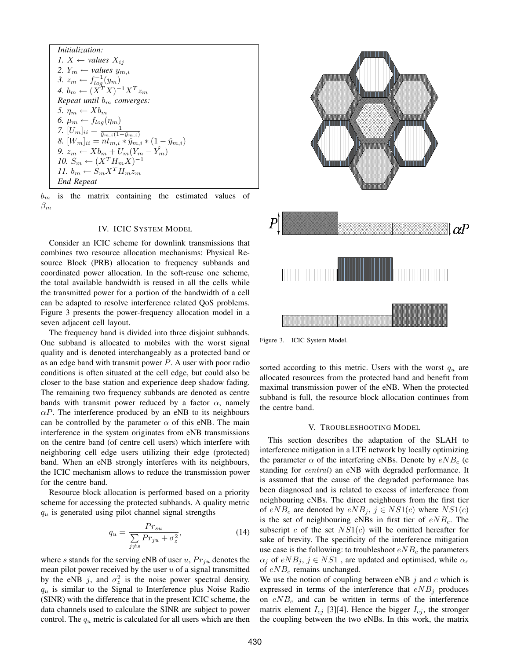$$
Initialization:
$$
\n1.  $X \leftarrow$  values  $X_{ij}$ \n2.  $Y_m \leftarrow$  values  $y_{m,i}$ \n3.  $z_m \leftarrow f_{log}^{-1}(y_m)$ \n4.  $b_m \leftarrow (X^T X)^{-1} X^T z_m$ \nRepeat until  $b_m$  converges:\n5.  $\eta_m \leftarrow X b_m$ \n6.  $\mu_m \leftarrow f_{log}(\eta_m)$ \n7.  $[U_m]_{ii} = \frac{1}{\hat{y}_{m,i}(1-\hat{y}_{m,i})}$ \n8.  $[W_m]_{ii} = nt_{m,i} * \hat{y}_{m,i} * (1-\hat{y}_{m,i})$ \n9.  $z_m \leftarrow X b_m + U_m(Y_m - Y_m)$ \n10.  $S_m \leftarrow (X^T H_m X)^{-1}$ \n11.  $b_m \leftarrow S_m X^T H_m z_m$ \nEnd Repeat

 $b_m$  is the matrix containing the estimated values of  $\beta_m$ 

#### IV. ICIC SYSTEM MODEL

Consider an ICIC scheme for downlink transmissions that combines two resource allocation mechanisms: Physical Resource Block (PRB) allocation to frequency subbands and coordinated power allocation. In the soft-reuse one scheme, the total available bandwidth is reused in all the cells while the transmitted power for a portion of the bandwidth of a cell can be adapted to resolve interference related QoS problems. Figure 3 presents the power-frequency allocation model in a seven adjacent cell layout.

The frequency band is divided into three disjoint subbands. One subband is allocated to mobiles with the worst signal quality and is denoted interchangeably as a protected band or as an edge band with transmit power  $P$ . A user with poor radio conditions is often situated at the cell edge, but could also be closer to the base station and experience deep shadow fading. The remaining two frequency subbands are denoted as centre bands with transmit power reduced by a factor  $\alpha$ , namely  $\alpha P$ . The interference produced by an eNB to its neighbours can be controlled by the parameter  $\alpha$  of this eNB. The main interference in the system originates from eNB transmissions on the centre band (of centre cell users) which interfere with neighboring cell edge users utilizing their edge (protected) band. When an eNB strongly interferes with its neighbours, the ICIC mechanism allows to reduce the transmission power for the centre band.

Resource block allocation is performed based on a priority scheme for accessing the protected subbands. A quality metric  $q_u$  is generated using pilot channel signal strengths

$$
q_u = \frac{Pr_{su}}{\sum\limits_{j \neq s} Pr_{ju} + \sigma_z^2},\tag{14}
$$

where s stands for the serving eNB of user  $u$ ,  $Pr_{ju}$  denotes the mean pilot power received by the user  $u$  of a signal transmitted by the eNB j, and  $\sigma_z^2$  is the noise power spectral density.  $q_u$  is similar to the Signal to Interference plus Noise Radio (SINR) with the difference that in the present ICIC scheme, the data channels used to calculate the SINR are subject to power control. The  $q_u$  metric is calculated for all users which are then



Figure 3. ICIC System Model.

sorted according to this metric. Users with the worst  $q_u$  are allocated resources from the protected band and benefit from maximal transmission power of the eNB. When the protected subband is full, the resource block allocation continues from the centre band.

#### V. TROUBLESHOOTING MODEL

This section describes the adaptation of the SLAH to interference mitigation in a LTE network by locally optimizing the parameter  $\alpha$  of the interfering eNBs. Denote by  $eNB_c$  (c standing for *central*) an eNB with degraded performance. It is assumed that the cause of the degraded performance has been diagnosed and is related to excess of interference from neighbouring eNBs. The direct neighbours from the first tier of  $eNB_c$  are denoted by  $eNB_i$ ,  $j \in NS1(c)$  where  $NS1(c)$ is the set of neighbouring eNBs in first tier of  $eNB_c$ . The subscript c of the set  $NS1(c)$  will be omitted hereafter for sake of brevity. The specificity of the interference mitigation use case is the following: to troubleshoot  $eNB_c$  the parameters  $\alpha_j$  of  $eNB_j$ ,  $j \in NS1$ , are updated and optimised, while  $\alpha_c$ of  $eNB_c$  remains unchanged.

We use the notion of coupling between eNB  $j$  and  $c$  which is expressed in terms of the interference that  $eNB_i$  produces on  $eNB_c$  and can be written in terms of the interference matrix element  $I_{cj}$  [3][4]. Hence the bigger  $I_{cj}$ , the stronger the coupling between the two eNBs. In this work, the matrix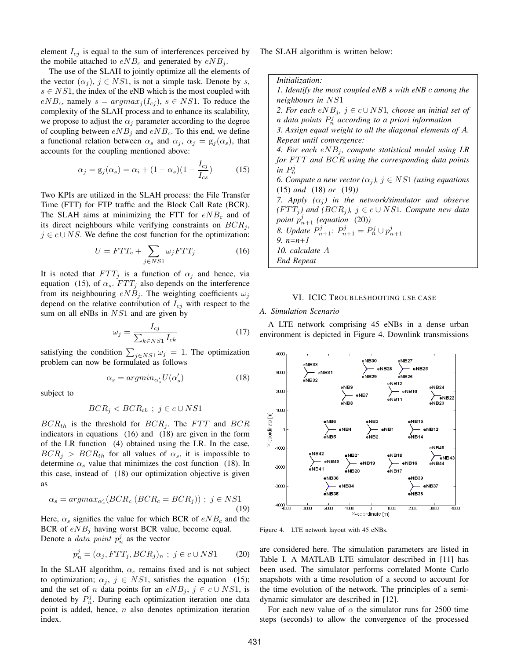element  $I_{ci}$  is equal to the sum of interferences perceived by the mobile attached to  $eNB_c$  and generated by  $eNB_j$ .

The use of the SLAH to jointly optimize all the elements of the vector  $(\alpha_i)$ ,  $j \in NS1$ , is not a simple task. Denote by s,  $s \in NS1$ , the index of the eNB which is the most coupled with  $eNB_c$ , namely  $s = argmax_i (I_{cj})$ ,  $s \in NS1$ . To reduce the complexity of the SLAH process and to enhance its scalability, we propose to adjust the  $\alpha_i$  parameter according to the degree of coupling between  $eNB_j$  and  $eNB_c$ . To this end, we define a functional relation between  $\alpha_s$  and  $\alpha_j$ ,  $\alpha_j = g_j(\alpha_s)$ , that accounts for the coupling mentioned above:

$$
\alpha_j = g_j(\alpha_s) = \alpha_i + (1 - \alpha_s)(1 - \frac{I_{cj}}{I_{cs}})
$$
(15)

Two KPIs are utilized in the SLAH process: the File Transfer Time (FTT) for FTP traffic and the Block Call Rate (BCR). The SLAH aims at minimizing the FTT for  $eNB_c$  and of its direct neighbours while verifying constraints on  $BCR_i$ ,  $j \in c \cup NS$ . We define the cost function for the optimization:

$$
U = FTT_c + \sum_{j \in NS1} \omega_j FTT_j \tag{16}
$$

It is noted that  $FTT_i$  is a function of  $\alpha_i$  and hence, via equation (15), of  $\alpha_s$ .  $FTT_j$  also depends on the interference from its neighbouring  $eNB_i$ . The weighting coefficients  $\omega_i$ depend on the relative contribution of  $I_{cj}$  with respect to the sum on all eNBs in  $NS1$  and are given by

$$
\omega_j = \frac{I_{cj}}{\sum_{k \in NS1} I_{ck}} \tag{17}
$$

satisfying the condition  $\sum_{j \in NS1} \omega_j = 1$ . The optimization problem can now be formulated as follows

$$
\alpha_s = argmin_{\alpha'_s} U(\alpha'_s) \tag{18}
$$

subject to

$$
BCR_j < BCR_{th} \ ; \ j \in c \cup NS1
$$

 $BCR_{th}$  is the threshold for  $BCR_i$ . The FTT and BCR indicators in equations (16) and (18) are given in the form of the LR function (4) obtained using the LR. In the case,  $BCR_i > BCR_{th}$  for all values of  $\alpha_s$ , it is impossible to determine  $\alpha_s$  value that minimizes the cost function (18). In this case, instead of (18) our optimization objective is given as

$$
\alpha_s = argmax_{\alpha_s'} (BCR_c | (BCR_c = BCR_j)) ; j \in NS1
$$
\n(19)

Here,  $\alpha_s$  signifies the value for which BCR of  $eNB_c$  and the BCR of  $eNB_i$  having worst BCR value, become equal. Denote a *data point*  $p_n^j$  as the vector

$$
p_n^j = (\alpha_j, FTT_j, BCR_j)_n ; j \in c \cup NS1 \qquad (20)
$$

In the SLAH algorithm,  $\alpha_c$  remains fixed and is not subject to optimization;  $\alpha_j$ ,  $j \in NS1$ , satisfies the equation (15); and the set of *n* data points for an  $eNB_j$ ,  $j \in c \cup NS1$ , is denoted by  $P_n^j$ . During each optimization iteration one data point is added, hence,  $n$  also denotes optimization iteration index.

The SLAH algorithm is written below:

*Initialization: 1. Identify the most coupled eNB* s *with eNB* c *among the neighbours in* NS1 *2. For each*  $eNB_j$ ,  $j \in c \cup NS1$ , choose an initial set of *n data points* P j <sup>n</sup> *according to a priori information 3. Assign equal weight to all the diagonal elements of* A*. Repeat until convergence:* 4. For each  $eNB_j$ , compute statistical model using LR *for* FTT and BCR using the corresponding data points in  $P_n^j$ *6. Compute a new vector*  $(\alpha_j)$ ,  $j \in NS1$  *(using equations* (15) *and* (18) *or* (19)*) 7. Apply*  $(\alpha_i)$  *in the network/simulator and observe (FTT<sub>j</sub>)* and *(BCR<sub>j</sub>)*,  $j \in c \cup NS1$ *. Compute new data* point  $p_{n+1}^j$  (equation (20)) *8. Update*  $P_{n+1}^j$ :  $P_{n+1}^j = P_n^j \cup p_{n+1}^j$ *9. n=n+1 10. calculate* A *End Repeat*

#### VI. ICIC TROUBLESHOOTING USE CASE

#### *A. Simulation Scenario*

A LTE network comprising 45 eNBs in a dense urban environment is depicted in Figure 4. Downlink transmissions



Figure 4. LTE network layout with 45 eNBs.

are considered here. The simulation parameters are listed in Table I. A MATLAB LTE simulator described in [11] has been used. The simulator performs correlated Monte Carlo snapshots with a time resolution of a second to account for the time evolution of the network. The principles of a semidynamic simulator are described in [12].

For each new value of  $\alpha$  the simulator runs for 2500 time steps (seconds) to allow the convergence of the processed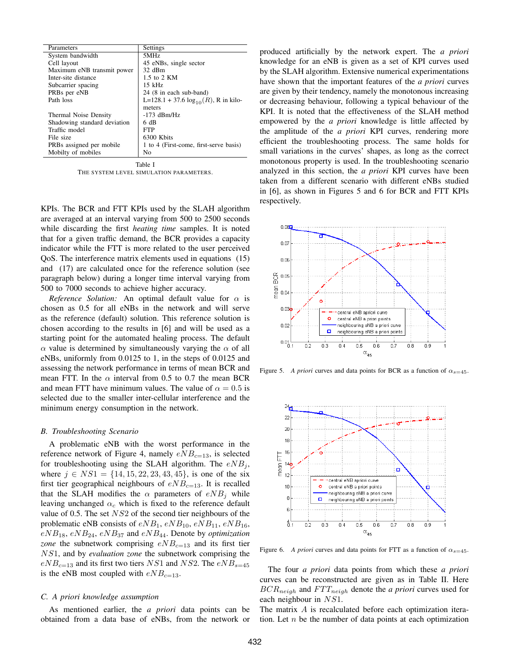| Parameters                   | Settings                                  |
|------------------------------|-------------------------------------------|
| System bandwidth             | 5MHz                                      |
| Cell layout                  | 45 eNBs, single sector                    |
| Maximum eNB transmit power   | 32 dBm                                    |
| Inter-site distance          | 1.5 to 2 KM                               |
| Subcarrier spacing           | $15$ kHz                                  |
| PRBs per eNB                 | 24 (8 in each sub-band)                   |
| Path loss                    | L=128.1 + 37.6 $log_{10}(R)$ , R in kilo- |
|                              | meters                                    |
| Thermal Noise Density        | $-173$ dBm/Hz                             |
| Shadowing standard deviation | 6 dB                                      |
| Traffic model                | <b>FTP</b>                                |
| File size                    | 6300 Kbits                                |
| PRBs assigned per mobile     | 1 to 4 (First-come, first-serve basis)    |
| Mobilty of mobiles           | No                                        |
|                              |                                           |

Table I THE SYSTEM LEVEL SIMULATION PARAMETERS.

KPIs. The BCR and FTT KPIs used by the SLAH algorithm are averaged at an interval varying from 500 to 2500 seconds while discarding the first *heating time* samples. It is noted that for a given traffic demand, the BCR provides a capacity indicator while the FTT is more related to the user perceived QoS. The interference matrix elements used in equations (15) and (17) are calculated once for the reference solution (see paragraph below) during a longer time interval varying from 500 to 7000 seconds to achieve higher accuracy.

*Reference Solution:* An optimal default value for  $\alpha$  is chosen as 0.5 for all eNBs in the network and will serve as the reference (default) solution. This reference solution is chosen according to the results in [6] and will be used as a starting point for the automated healing process. The default  $\alpha$  value is determined by simultaneously varying the  $\alpha$  of all eNBs, uniformly from 0.0125 to 1, in the steps of 0.0125 and assessing the network performance in terms of mean BCR and mean FTT. In the  $\alpha$  interval from 0.5 to 0.7 the mean BCR and mean FTT have minimum values. The value of  $\alpha = 0.5$  is selected due to the smaller inter-cellular interference and the minimum energy consumption in the network.

#### *B. Troubleshooting Scenario*

A problematic eNB with the worst performance in the reference network of Figure 4, namely  $eNB_{c=13}$ , is selected for troubleshooting using the SLAH algorithm. The  $eNB_i$ , where  $j \in NS1 = \{14, 15, 22, 23, 43, 45\}$ , is one of the six first tier geographical neighbours of  $eNB<sub>c=13</sub>$ . It is recalled that the SLAH modifies the  $\alpha$  parameters of  $eNB_i$  while leaving unchanged  $\alpha_c$  which is fixed to the reference default value of 0.5. The set NS2 of the second tier neighbours of the problematic eNB consists of  $eNB_1$ ,  $eNB_{10}$ ,  $eNB_{11}$ ,  $eNB_{16}$ ,  $eNB_{18}$ ,  $eNB_{24}$ ,  $eNB_{37}$  and  $eNB_{44}$ . Denote by *optimization zone* the subnetwork comprising  $eNB_{c=13}$  and its first tier NS1, and by *evaluation zone* the subnetwork comprising the  $eNB_{c=13}$  and its first two tiers NS1 and NS2. The  $eNB_{s=45}$ is the eNB most coupled with  $eNB_{c=13}$ .

#### *C. A priori knowledge assumption*

As mentioned earlier, the *a priori* data points can be obtained from a data base of eNBs, from the network or produced artificially by the network expert. The *a priori* knowledge for an eNB is given as a set of KPI curves used by the SLAH algorithm. Extensive numerical experimentations have shown that the important features of the *a priori* curves are given by their tendency, namely the monotonous increasing or decreasing behaviour, following a typical behaviour of the KPI. It is noted that the effectiveness of the SLAH method empowered by the *a priori* knowledge is little affected by the amplitude of the *a priori* KPI curves, rendering more efficient the troubleshooting process. The same holds for small variations in the curves' shapes, as long as the correct monotonous property is used. In the troubleshooting scenario analyzed in this section, the *a priori* KPI curves have been taken from a different scenario with different eNBs studied in [6], as shown in Figures 5 and 6 for BCR and FTT KPIs respectively.



Figure 5. *A priori* curves and data points for BCR as a function of  $\alpha_{s=45}$ .



Figure 6. *A priori* curves and data points for FTT as a function of  $\alpha_{s=45}$ .

The four *a priori* data points from which these *a priori* curves can be reconstructed are given as in Table II. Here  $BCR_{neigh}$  and  $FTT_{neigh}$  denote the *a priori* curves used for each neighbour in  $NS1$ .

The matrix A is recalculated before each optimization iteration. Let  $n$  be the number of data points at each optimization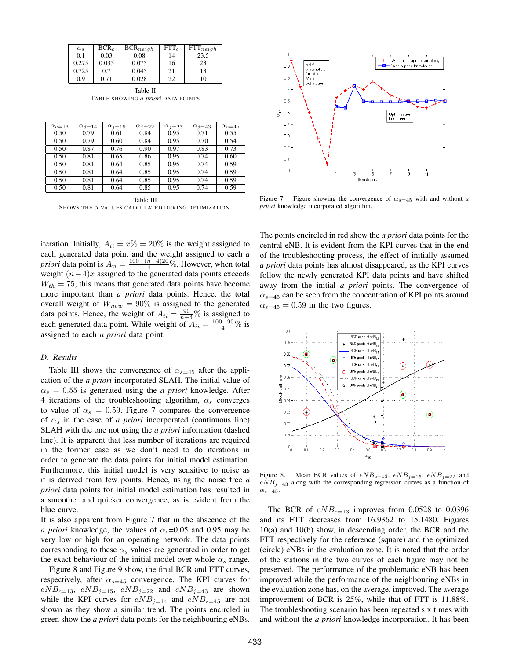| $\alpha_s$ | $BCR_c$ | $BCR_{neigh}$ | $FTT_c$ | $FTT_{neigh}$ |
|------------|---------|---------------|---------|---------------|
| 0.1        | 0.03    | 0.08          | 14      | 23.5          |
| 0.275      | 0.035   | 0.075         | 16      | 23            |
| 0.725      | 0.7     | 0.045         | 21      | 13            |
| 0.9        | 0.71    | 0.028         | 22      | 10            |

Table II TABLE SHOWING *a priori* DATA POINTS

| $\alpha_{c=13}$ | $\alpha_{i=14}$ | $\alpha_{i=15}$ | $\alpha_{i=22}$ | $\alpha_{i=23}$ | $\alpha_{i=43}$ | $\alpha_{s=45}$ |
|-----------------|-----------------|-----------------|-----------------|-----------------|-----------------|-----------------|
| 0.50            | 0.79            | 0.61            | 0.84            | 0.95            | 0.71            | 0.55            |
| 0.50            | 0.79            | 0.60            | 0.84            | 0.95            | 0.70            | 0.54            |
| 0.50            | 0.87            | 0.76            | 0.90            | 0.97            | 0.83            | 0.73            |
| 0.50            | 0.81            | 0.65            | 0.86            | 0.95            | 0.74            | 0.60            |
| 0.50            | 0.81            | 0.64            | 0.85            | 0.95            | 0.74            | 0.59            |
| 0.50            | 0.81            | 0.64            | 0.85            | 0.95            | 0.74            | 0.59            |
| 0.50            | 0.81            | 0.64            | 0.85            | 0.95            | 0.74            | 0.59            |
| 0.50            | 0.81            | 0.64            | 0.85            | 0.95            | 0.74            | 0.59            |

Table III SHOWS THE  $\alpha$  VALUES CALCULATED DURING OPTIMIZATION.

iteration. Initially,  $A_{ii} = x\% = 20\%$  is the weight assigned to each generated data point and the weight assigned to each *a priori* data point is  $A_{ii} = \frac{100 - (n-4)20}{4}$ %. However, when total weight  $(n-4)x$  assigned to the generated data points exceeds  $W_{th} = 75$ , this means that generated data points have become more important than *a priori* data points. Hence, the total overall weight of  $W_{new} = 90\%$  is assigned to the generated data points. Hence, the weight of  $A_{ii} = \frac{90}{n-4}\%$  is assigned to each generated data point. While weight of  $A_{ii} = \frac{100 - 90}{4} \%$  is assigned to each *a priori* data point.

#### *D. Results*

Table III shows the convergence of  $\alpha_{s=45}$  after the application of the *a priori* incorporated SLAH. The initial value of  $\alpha_s = 0.55$  is generated using the *a priori* knowledge. After 4 iterations of the troubleshooting algorithm,  $\alpha_s$  converges to value of  $\alpha_s = 0.59$ . Figure 7 compares the convergence of  $\alpha_s$  in the case of *a priori* incorporated (continuous line) SLAH with the one not using the *a priori* information (dashed line). It is apparent that less number of iterations are required in the former case as we don't need to do iterations in order to generate the data points for initial model estimation. Furthermore, this initial model is very sensitive to noise as it is derived from few points. Hence, using the noise free *a priori* data points for initial model estimation has resulted in a smoother and quicker convergence, as is evident from the blue curve.

It is also apparent from Figure 7 that in the abscence of the *a priori* knowledge, the values of  $\alpha_s = 0.05$  and 0.95 may be very low or high for an operating network. The data points corresponding to these  $\alpha_s$  values are generated in order to get the exact behaviour of the initial model over whole  $\alpha_s$  range.

Figure 8 and Figure 9 show, the final BCR and FTT curves, respectively, after  $\alpha_{s=45}$  convergence. The KPI curves for  $eNB_{c=13}$ ,  $eNB_{j=15}$ ,  $eNB_{j=22}$  and  $eNB_{j=43}$  are shown while the KPI curves for  $eNB_{i=14}$  and  $eNB_{s=45}$  are not shown as they show a similar trend. The points encircled in green show the *a priori* data points for the neighbouring eNBs.



Figure 7. Figure showing the convergence of  $\alpha_{s=45}$  with and without *a priori* knowledge incorporated algorithm.

The points encircled in red show the *a priori* data points for the central eNB. It is evident from the KPI curves that in the end of the troubleshooting process, the effect of initially assumed *a priori* data points has almost disappeared, as the KPI curves follow the newly generated KPI data points and have shifted away from the initial *a priori* points. The convergence of  $\alpha_{s=45}$  can be seen from the concentration of KPI points around  $\alpha_{s=45} = 0.59$  in the two figures.



Figure 8. Mean BCR values of  $eNB_{c=13}$ ,  $eNB_{i=15}$ ,  $eNB_{i=22}$  and  $eNB_{i=43}$  along with the corresponding regression curves as a function of  $\alpha_{s=45}$ .

The BCR of  $eNB_{c=13}$  improves from 0.0528 to 0.0396 and its FTT decreases from 16.9362 to 15.1480. Figures 10(a) and 10(b) show, in descending order, the BCR and the FTT respectively for the reference (square) and the optimized (circle) eNBs in the evaluation zone. It is noted that the order of the stations in the two curves of each figure may not be preserved. The performance of the problematic eNB has been improved while the performance of the neighbouring eNBs in the evaluation zone has, on the average, improved. The average improvement of BCR is 25%, while that of FTT is 11.88%. The troubleshooting scenario has been repeated six times with and without the *a priori* knowledge incorporation. It has been